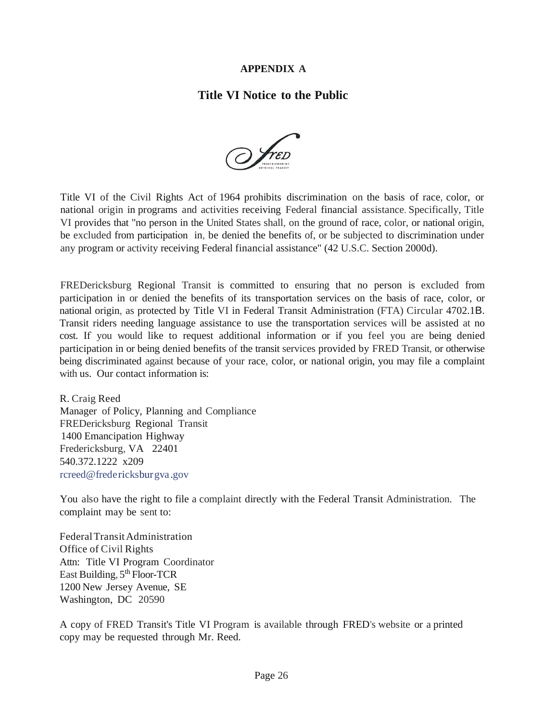## **APPENDIX A**

## **Title VI Notice to the Public**



Title VI of the Civil Rights Act of 1964 prohibits discrimination on the basis of race, color, or national origin in programs and activities receiving Federal financial assistance. Specifically, Title VI provides that "no person in the United States shall, on the ground of race, color, or national origin, be excluded from participation in, be denied the benefits of, or be subjected to discrimination under any program or activity receiving Federal financial assistance" (42 U.S.C. Section 2000d).

FREDericksburg Regional Transit is committed to ensuring that no person is excluded from participation in or denied the benefits of its transportation services on the basis of race, color, or national origin, as protected by Title VI in Federal Transit Administration (FTA) Circular 4702.1B. Transit riders needing language assistance to use the transportation services will be assisted at no cost. If you would like to request additional information or if you feel you are being denied participation in or being denied benefits of the transit services provided by FRED Transit, or otherwise being discriminated against because of your race, color, or national origin, you may file a complaint with us. Our contact information is:

R. Craig Reed Manager of Policy, Planning and Compliance FREDericksburg Regional Transit 1400 Emancipation Highway Fredericksburg, VA 22401 540.372.1222 x209 rcreed@fredericksburgva .gov

You also have the right to file a complaint directly with the Federal Transit Administration. The complaint may be sent to:

FederalTransitAdministration Office of Civil Rights Attn: Title VI Program Coordinator East Building, 5<sup>th</sup> Floor-TCR 1200 New Jersey Avenue, SE Washington, DC 20590

A copy of FRED Transit's Title VI Program is available through FRED's website or a printed copy may be requested through Mr. Reed.